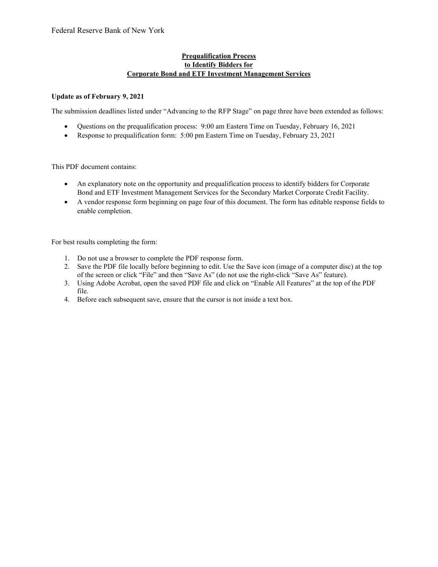### **Prequalification Process to Identify Bidders for Corporate Bond and ETF Investment Management Services**

#### **Update as of February 9, 2021**

The submission deadlines listed under "Advancing to the RFP Stage" on page three have been extended as follows:

- Questions on the prequalification process: 9:00 am Eastern Time on Tuesday, February 16, 2021
- Response to prequalification form: 5:00 pm Eastern Time on Tuesday, February 23, 2021

This PDF document contains:

- An explanatory note on the opportunity and prequalification process to identify bidders for Corporate Bond and ETF Investment Management Services for the Secondary Market Corporate Credit Facility.
- A vendor response form beginning on page four of this document. The form has editable response fields to enable completion.

For best results completing the form:

- 1. Do not use a browser to complete the PDF response form.
- 2. Save the PDF file locally before beginning to edit. Use the Save icon (image of a computer disc) at the top of the screen or click "File" and then "Save As" (do not use the right-click "Save As" feature).
- 3. Using Adobe Acrobat, open the saved PDF file and click on "Enable All Features" at the top of the PDF file.
- 4. Before each subsequent save, ensure that the cursor is not inside a text box.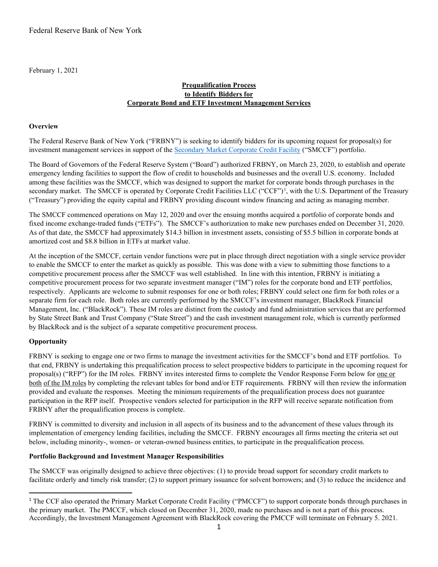February 1, 2021

## **Prequalification Process to Identify Bidders for Corporate Bond and ETF Investment Management Services**

#### **Overview**

The Federal Reserve Bank of New York ("FRBNY") is seeking to identify bidders for its upcoming request for proposal(s) for investment management services in support of the [Secondary Market Corporate Credit Facility](https://www.newyorkfed.org/markets/secondary-market-corporate-credit-facility) ("SMCCF") portfolio.

The Board of Governors of the Federal Reserve System ("Board") authorized FRBNY, on March 23, 2020, to establish and operate emergency lending facilities to support the flow of credit to households and businesses and the overall U.S. economy. Included among these facilities was the SMCCF, which was designed to support the market for corporate bonds through purchases in the secondary market. The SMCCF is operated by Corporate Credit Facilities LLC ("CCF")<sup>[1](#page-1-0)</sup>, with the U.S. Department of the Treasury ("Treasury") providing the equity capital and FRBNY providing discount window financing and acting as managing member.

The SMCCF commenced operations on May 12, 2020 and over the ensuing months acquired a portfolio of corporate bonds and fixed income exchange-traded funds ("ETFs"). The SMCCF's authorization to make new purchases ended on December 31, 2020. As of that date, the SMCCF had approximately \$14.3 billion in investment assets, consisting of \$5.5 billion in corporate bonds at amortized cost and \$8.8 billion in ETFs at market value.

At the inception of the SMCCF, certain vendor functions were put in place through direct negotiation with a single service provider to enable the SMCCF to enter the market as quickly as possible. This was done with a view to submitting those functions to a competitive procurement process after the SMCCF was well established. In line with this intention, FRBNY is initiating a competitive procurement process for two separate investment manager ("IM") roles for the corporate bond and ETF portfolios, respectively. Applicants are welcome to submit responses for one or both roles; FRBNY could select one firm for both roles or a separate firm for each role. Both roles are currently performed by the SMCCF's investment manager, BlackRock Financial Management, Inc. ("BlackRock"). These IM roles are distinct from the custody and fund administration services that are performed by State Street Bank and Trust Company ("State Street") and the cash investment management role, which is currently performed by BlackRock and is the subject of a separate competitive procurement process.

### **Opportunity**

FRBNY is seeking to engage one or two firms to manage the investment activities for the SMCCF's bond and ETF portfolios. To that end, FRBNY is undertaking this prequalification process to select prospective bidders to participate in the upcoming request for proposal(s) ("RFP") for the IM roles. FRBNY invites interested firms to complete the Vendor Response Form below for one or both of the IM roles by completing the relevant tables for bond and/or ETF requirements. FRBNY will then review the information provided and evaluate the responses. Meeting the minimum requirements of the prequalification process does not guarantee participation in the RFP itself. Prospective vendors selected for participation in the RFP will receive separate notification from FRBNY after the prequalification process is complete.

FRBNY is committed to diversity and inclusion in all aspects of its business and to the advancement of these values through its implementation of emergency lending facilities, including the SMCCF. FRBNY encourages all firms meeting the criteria set out below, including minority-, women- or veteran-owned business entities, to participate in the prequalification process.

### **Portfolio Background and Investment Manager Responsibilities**

The SMCCF was originally designed to achieve three objectives: (1) to provide broad support for secondary credit markets to facilitate orderly and timely risk transfer; (2) to support primary issuance for solvent borrowers; and (3) to reduce the incidence and

<span id="page-1-0"></span><sup>&</sup>lt;sup>1</sup> The CCF also operated the Primary Market Corporate Credit Facility ("PMCCF") to support corporate bonds through purchases in the primary market. The PMCCF, which closed on December 31, 2020, made no purchases and is not a part of this process. Accordingly, the Investment Management Agreement with BlackRock covering the PMCCF will terminate on February 5. 2021.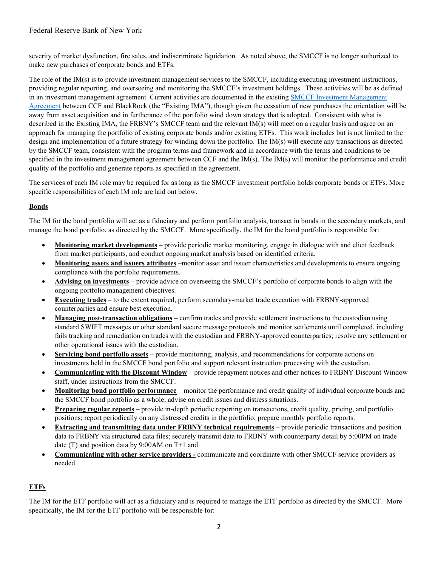severity of market dysfunction, fire sales, and indiscriminate liquidation. As noted above, the SMCCF is no longer authorized to make new purchases of corporate bonds and ETFs.

The role of the  $IM(s)$  is to provide investment management services to the SMCCF, including executing investment instructions, providing regular reporting, and overseeing and monitoring the SMCCF's investment holdings. These activities will be as defined in an investment management agreement. Current activities are documented in the existing **SMCCF** Investment Management [Agreement](https://www.newyorkfed.org/medialibrary/media/markets/SMCCF_Investment_Management_Agreement.pdf) between CCF and BlackRock (the "Existing IMA"), though given the cessation of new purchases the orientation will be away from asset acquisition and in furtherance of the portfolio wind down strategy that is adopted. Consistent with what is described in the Existing IMA, the FRBNY's SMCCF team and the relevant IM(s) will meet on a regular basis and agree on an approach for managing the portfolio of existing corporate bonds and/or existing ETFs. This work includes but is not limited to the design and implementation of a future strategy for winding down the portfolio. The IM(s) will execute any transactions as directed by the SMCCF team, consistent with the program terms and framework and in accordance with the terms and conditions to be specified in the investment management agreement between CCF and the IM(s). The IM(s) will monitor the performance and credit quality of the portfolio and generate reports as specified in the agreement.

The services of each IM role may be required for as long as the SMCCF investment portfolio holds corporate bonds or ETFs. More specific responsibilities of each IM role are laid out below.

# **Bonds**

The IM for the bond portfolio will act as a fiduciary and perform portfolio analysis, transact in bonds in the secondary markets, and manage the bond portfolio, as directed by the SMCCF. More specifically, the IM for the bond portfolio is responsible for:

- **Monitoring market developments** provide periodic market monitoring, engage in dialogue with and elicit feedback from market participants, and conduct ongoing market analysis based on identified criteria.
- **Monitoring assets and issuers attributes** –monitor asset and issuer characteristics and developments to ensure ongoing compliance with the portfolio requirements.
- **Advising on investments** provide advice on overseeing the SMCCF's portfolio of corporate bonds to align with the ongoing portfolio management objectives.
- **Executing trades** to the extent required, perform secondary-market trade execution with FRBNY-approved counterparties and ensure best execution.
- **Managing post-transaction obligations** confirm trades and provide settlement instructions to the custodian using standard SWIFT messages or other standard secure message protocols and monitor settlements until completed, including fails tracking and remediation on trades with the custodian and FRBNY-approved counterparties; resolve any settlement or other operational issues with the custodian.
- **Servicing bond portfolio assets** provide monitoring, analysis, and recommendations for corporate actions on investments held in the SMCCF bond portfolio and support relevant instruction processing with the custodian.
- **Communicating with the Discount Window** provide repayment notices and other notices to FRBNY Discount Window staff, under instructions from the SMCCF.
- **Monitoring bond portfolio performance** monitor the performance and credit quality of individual corporate bonds and the SMCCF bond portfolio as a whole; advise on credit issues and distress situations.
- **Preparing regular reports** provide in-depth periodic reporting on transactions, credit quality, pricing, and portfolio positions; report periodically on any distressed credits in the portfolio; prepare monthly portfolio reports.
- **Extracting and transmitting data under FRBNY technical requirements** provide periodic transactions and position data to FRBNY via structured data files; securely transmit data to FRBNY with counterparty detail by 5:00PM on trade date (T) and position data by 9:00AM on T+1 and
- **Communicating with other service providers -** communicate and coordinate with other SMCCF service providers as needed.

# **ETFs**

The IM for the ETF portfolio will act as a fiduciary and is required to manage the ETF portfolio as directed by the SMCCF. More specifically, the IM for the ETF portfolio will be responsible for: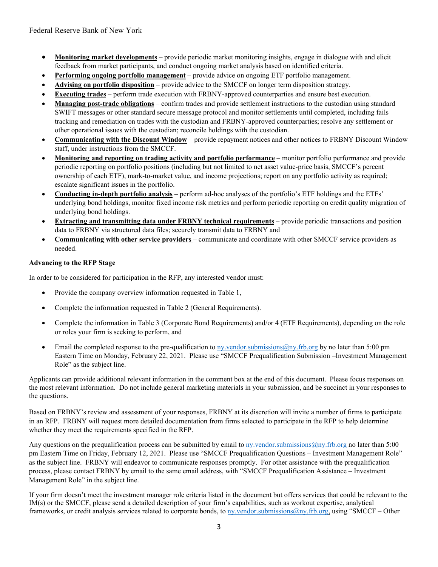- **Monitoring market developments** provide periodic market monitoring insights, engage in dialogue with and elicit feedback from market participants, and conduct ongoing market analysis based on identified criteria.
- **Performing ongoing portfolio management** provide advice on ongoing ETF portfolio management.
- **Advising on portfolio disposition** provide advice to the SMCCF on longer term disposition strategy.
- **Executing trades** perform trade execution with FRBNY-approve[d counterparties](https://www.newyorkfed.org/markets/secondary-market-corporate-credit-facility/secondary-market-corporate-credit-facility-eligible-sellers) and ensure best execution.
- **Managing post-trade obligations** confirm trades and provide settlement instructions to the custodian using standard SWIFT messages or other standard secure message protocol and monitor settlements until completed, including fails tracking and remediation on trades with the custodian and FRBNY-approved counterparties; resolve any settlement or other operational issues with the custodian; reconcile holdings with the custodian.
- **Communicating with the Discount Window** provide repayment notices and other notices to FRBNY Discount Window staff, under instructions from the SMCCF.
- **Monitoring and reporting on trading activity and portfolio performance** monitor portfolio performance and provide periodic reporting on portfolio positions (including but not limited to net asset value-price basis, SMCCF's percent ownership of each ETF), mark-to-market value, and income projections; report on any portfolio activity as required; escalate significant issues in the portfolio.
- **Conducting in-depth portfolio analysis** perform ad-hoc analyses of the portfolio's ETF holdings and the ETFs' underlying bond holdings, monitor fixed income risk metrics and perform periodic reporting on credit quality migration of underlying bond holdings.
- **Extracting and transmitting data under FRBNY technical requirements** provide periodic transactions and position data to FRBNY via structured data files; securely transmit data to FRBNY and
- **Communicating with other service providers** communicate and coordinate with other SMCCF service providers as needed.

### **Advancing to the RFP Stage**

In order to be considered for participation in the RFP, any interested vendor must:

- Provide the company overview information requested in Table 1,
- Complete the information requested in Table 2 (General Requirements).
- Complete the information in Table 3 (Corporate Bond Requirements) and/or 4 (ETF Requirements), depending on the role or roles your firm is seeking to perform, and
- Email the completed response to the pre-qualification to [ny.vendor.submissions@ny.frb.org](mailto:ny.vendor.submissions@ny.frb.org) by no later than 5:00 pm Eastern Time on Monday, February 22, 2021. Please use "SMCCF Prequalification Submission –Investment Management Role" as the subject line.

Applicants can provide additional relevant information in the comment box at the end of this document. Please focus responses on the most relevant information. Do not include general marketing materials in your submission, and be succinct in your responses to the questions.

Based on FRBNY's review and assessment of your responses, FRBNY at its discretion will invite a number of firms to participate in an RFP. FRBNY will request more detailed documentation from firms selected to participate in the RFP to help determine whether they meet the requirements specified in the RFP.

Any questions on the prequalification process can be submitted by email to [ny.vendor.submissions@ny.frb.org](mailto:ny.vendor.submissions@ny.frb.org) no later than 5:00 pm Eastern Time on Friday, February 12, 2021. Please use "SMCCF Prequalification Questions – Investment Management Role" as the subject line. FRBNY will endeavor to communicate responses promptly. For other assistance with the prequalification process, please contact FRBNY by email to the same email address, with "SMCCF Prequalification Assistance – Investment Management Role" in the subject line.

If your firm doesn't meet the investment manager role criteria listed in the document but offers services that could be relevant to the IM(s) or the SMCCF, please send a detailed description of your firm's capabilities, such as workout expertise, analytical frameworks, or credit analysis services related to corporate bonds, to [ny.vendor.submissions@ny.frb.org,](mailto:ny.vendor.submissions@ny.frb.org) using "SMCCF – Other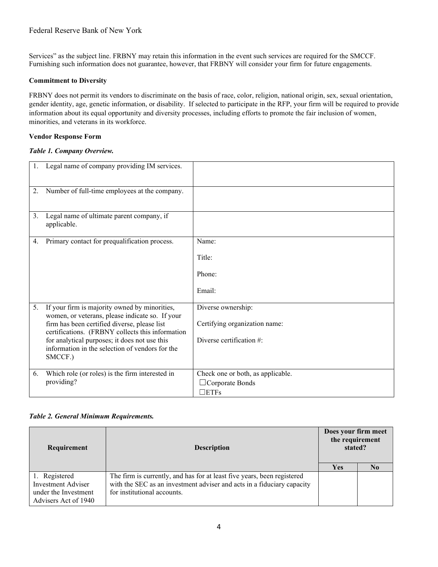Services" as the subject line. FRBNY may retain this information in the event such services are required for the SMCCF. Furnishing such information does not guarantee, however, that FRBNY will consider your firm for future engagements.

### **Commitment to Diversity**

FRBNY does not permit its vendors to discriminate on the basis of race, color, religion, national origin, sex, sexual orientation, gender identity, age, genetic information, or disability. If selected to participate in the RFP, your firm will be required to provide information about its equal opportunity and diversity processes, including efforts to promote the fair inclusion of women, minorities, and veterans in its workforce.

### **Vendor Response Form**

## *Table 1. Company Overview.*

| 1. | Legal name of company providing IM services.                                                                |                                          |
|----|-------------------------------------------------------------------------------------------------------------|------------------------------------------|
| 2. | Number of full-time employees at the company.                                                               |                                          |
| 3. | Legal name of ultimate parent company, if<br>applicable.                                                    |                                          |
| 4. | Primary contact for prequalification process.                                                               | Name:                                    |
|    |                                                                                                             | Title:                                   |
|    |                                                                                                             | Phone:                                   |
|    |                                                                                                             | Email:                                   |
| 5. | If your firm is majority owned by minorities,<br>women, or veterans, please indicate so. If your            | Diverse ownership:                       |
|    | firm has been certified diverse, please list<br>certifications. (FRBNY collects this information            | Certifying organization name:            |
|    | for analytical purposes; it does not use this<br>information in the selection of vendors for the<br>SMCCF.) | Diverse certification #:                 |
| 6. | Which role (or roles) is the firm interested in                                                             | Check one or both, as applicable.        |
|    | providing?                                                                                                  | $\Box$ Corporate Bonds<br>$\square$ ETFs |

### *Table 2. General Minimum Requirements.*

| Requirement               | <b>Description</b>                                                      | Does your firm meet<br>the requirement<br>stated? |                |
|---------------------------|-------------------------------------------------------------------------|---------------------------------------------------|----------------|
|                           |                                                                         | <b>Yes</b>                                        | N <sub>0</sub> |
| 1. Registered             | The firm is currently, and has for at least five years, been registered |                                                   |                |
| <b>Investment Adviser</b> | with the SEC as an investment adviser and acts in a fiduciary capacity  |                                                   |                |
| under the Investment      | for institutional accounts.                                             |                                                   |                |
| Advisers Act of 1940      |                                                                         |                                                   |                |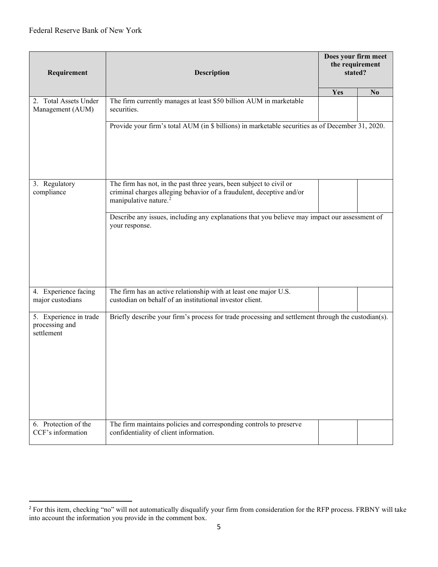| Requirement                                            | Description                                                                                                                                                                           |     | Does your firm meet<br>the requirement<br>stated? |  |
|--------------------------------------------------------|---------------------------------------------------------------------------------------------------------------------------------------------------------------------------------------|-----|---------------------------------------------------|--|
|                                                        |                                                                                                                                                                                       | Yes | N <sub>0</sub>                                    |  |
| 2. Total Assets Under<br>Management (AUM)              | The firm currently manages at least \$50 billion AUM in marketable<br>securities.<br>Provide your firm's total AUM (in \$ billions) in marketable securities as of December 31, 2020. |     |                                                   |  |
| 3. Regulatory<br>compliance                            | The firm has not, in the past three years, been subject to civil or<br>criminal charges alleging behavior of a fraudulent, deceptive and/or                                           |     |                                                   |  |
|                                                        | manipulative nature. <sup>2</sup><br>Describe any issues, including any explanations that you believe may impact our assessment of                                                    |     |                                                   |  |
|                                                        | your response.                                                                                                                                                                        |     |                                                   |  |
| 4. Experience facing<br>major custodians               | The firm has an active relationship with at least one major U.S.<br>custodian on behalf of an institutional investor client.                                                          |     |                                                   |  |
| 5. Experience in trade<br>processing and<br>settlement | Briefly describe your firm's process for trade processing and settlement through the custodian(s).                                                                                    |     |                                                   |  |
| 6. Protection of the<br>CCF's information              | The firm maintains policies and corresponding controls to preserve<br>confidentiality of client information.                                                                          |     |                                                   |  |

<span id="page-5-0"></span><sup>&</sup>lt;sup>2</sup> For this item, checking "no" will not automatically disqualify your firm from consideration for the RFP process. FRBNY will take into account the information you provide in the comment box.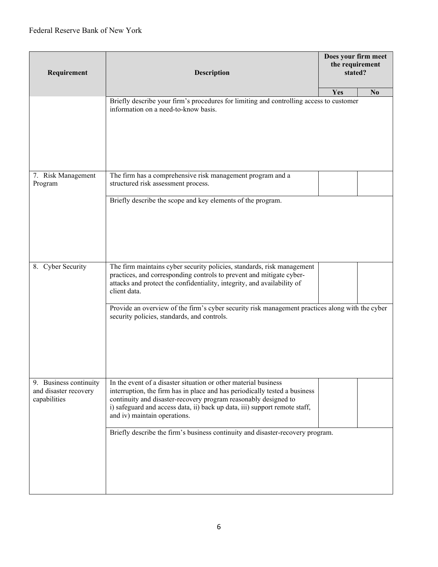| Requirement                                                     | <b>Description</b>                                                                                                                                                                                                                                                                                                             | Does your firm meet<br>the requirement<br>stated? |                |
|-----------------------------------------------------------------|--------------------------------------------------------------------------------------------------------------------------------------------------------------------------------------------------------------------------------------------------------------------------------------------------------------------------------|---------------------------------------------------|----------------|
|                                                                 |                                                                                                                                                                                                                                                                                                                                | Yes                                               | N <sub>0</sub> |
|                                                                 | Briefly describe your firm's procedures for limiting and controlling access to customer<br>information on a need-to-know basis.                                                                                                                                                                                                |                                                   |                |
| 7. Risk Management<br>Program                                   | The firm has a comprehensive risk management program and a<br>structured risk assessment process.                                                                                                                                                                                                                              |                                                   |                |
|                                                                 | Briefly describe the scope and key elements of the program.                                                                                                                                                                                                                                                                    |                                                   |                |
| 8. Cyber Security                                               | The firm maintains cyber security policies, standards, risk management<br>practices, and corresponding controls to prevent and mitigate cyber-<br>attacks and protect the confidentiality, integrity, and availability of<br>client data.                                                                                      |                                                   |                |
|                                                                 | Provide an overview of the firm's cyber security risk management practices along with the cyber<br>security policies, standards, and controls.                                                                                                                                                                                 |                                                   |                |
| 9. Business continuity<br>and disaster recovery<br>capabilities | In the event of a disaster situation or other material business<br>interruption, the firm has in place and has periodically tested a business<br>continuity and disaster-recovery program reasonably designed to<br>i) safeguard and access data, ii) back up data, iii) support remote staff,<br>and iv) maintain operations. |                                                   |                |
|                                                                 | Briefly describe the firm's business continuity and disaster-recovery program.                                                                                                                                                                                                                                                 |                                                   |                |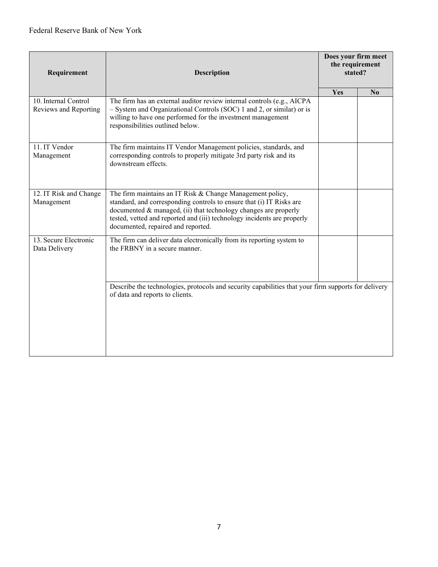| Requirement                                   | Does your firm meet<br>the requirement<br>stated?<br><b>Description</b>                                                                                                                                                                                                                                                  |     |                |
|-----------------------------------------------|--------------------------------------------------------------------------------------------------------------------------------------------------------------------------------------------------------------------------------------------------------------------------------------------------------------------------|-----|----------------|
|                                               |                                                                                                                                                                                                                                                                                                                          | Yes | N <sub>0</sub> |
| 10. Internal Control<br>Reviews and Reporting | The firm has an external auditor review internal controls (e.g., AICPA<br>- System and Organizational Controls (SOC) 1 and 2, or similar) or is<br>willing to have one performed for the investment management<br>responsibilities outlined below.                                                                       |     |                |
| 11. IT Vendor<br>Management                   | The firm maintains IT Vendor Management policies, standards, and<br>corresponding controls to properly mitigate 3rd party risk and its<br>downstream effects.                                                                                                                                                            |     |                |
| 12. IT Risk and Change<br>Management          | The firm maintains an IT Risk & Change Management policy,<br>standard, and corresponding controls to ensure that (i) IT Risks are<br>documented $\&$ managed, (ii) that technology changes are properly<br>tested, vetted and reported and (iii) technology incidents are properly<br>documented, repaired and reported. |     |                |
| 13. Secure Electronic<br>Data Delivery        | The firm can deliver data electronically from its reporting system to<br>the FRBNY in a secure manner.                                                                                                                                                                                                                   |     |                |
|                                               | Describe the technologies, protocols and security capabilities that your firm supports for delivery<br>of data and reports to clients.                                                                                                                                                                                   |     |                |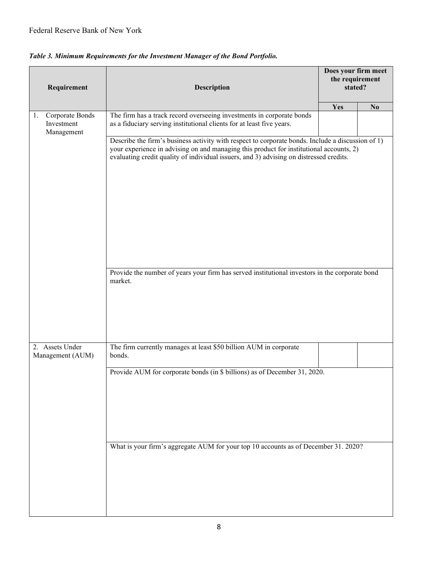| Requirement                                       | <b>Description</b>                                                                                                                                                                                                                                                                                                                                                                                   | Does your firm meet<br>the requirement<br>stated? |                |
|---------------------------------------------------|------------------------------------------------------------------------------------------------------------------------------------------------------------------------------------------------------------------------------------------------------------------------------------------------------------------------------------------------------------------------------------------------------|---------------------------------------------------|----------------|
|                                                   |                                                                                                                                                                                                                                                                                                                                                                                                      | Yes                                               | N <sub>0</sub> |
| Corporate Bonds<br>1.<br>Investment<br>Management | The firm has a track record overseeing investments in corporate bonds<br>as a fiduciary serving institutional clients for at least five years.                                                                                                                                                                                                                                                       |                                                   |                |
|                                                   | Describe the firm's business activity with respect to corporate bonds. Include a discussion of 1)<br>your experience in advising on and managing this product for institutional accounts, 2)<br>evaluating credit quality of individual issuers, and 3) advising on distressed credits.<br>Provide the number of years your firm has served institutional investors in the corporate bond<br>market. |                                                   |                |
| 2. Assets Under<br>Management (AUM)               | The firm currently manages at least \$50 billion AUM in corporate<br>bonds.                                                                                                                                                                                                                                                                                                                          |                                                   |                |
|                                                   | Provide AUM for corporate bonds (in \$ billions) as of December 31, 2020.<br>What is your firm's aggregate AUM for your top 10 accounts as of December 31. 2020?                                                                                                                                                                                                                                     |                                                   |                |

*Table 3. Minimum Requirements for the Investment Manager of the Bond Portfolio.*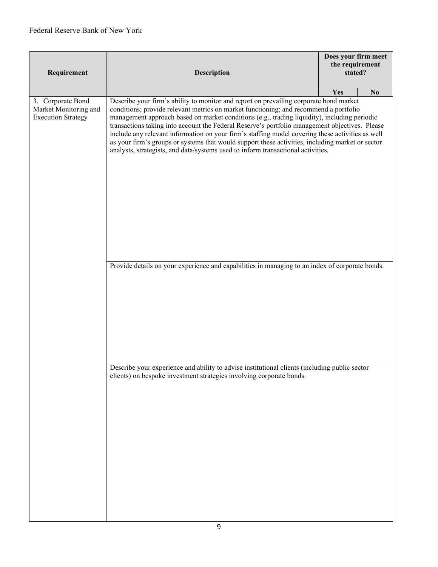| Requirement                                                             | Description                                                                                                                                                                                                                                                                                                                                                                                                                                                                                                                                                                                                                                                                                                                                                                      | Does your firm meet<br>the requirement<br>stated? |                |
|-------------------------------------------------------------------------|----------------------------------------------------------------------------------------------------------------------------------------------------------------------------------------------------------------------------------------------------------------------------------------------------------------------------------------------------------------------------------------------------------------------------------------------------------------------------------------------------------------------------------------------------------------------------------------------------------------------------------------------------------------------------------------------------------------------------------------------------------------------------------|---------------------------------------------------|----------------|
|                                                                         |                                                                                                                                                                                                                                                                                                                                                                                                                                                                                                                                                                                                                                                                                                                                                                                  | Yes                                               | N <sub>0</sub> |
| 3. Corporate Bond<br>Market Monitoring and<br><b>Execution Strategy</b> | Describe your firm's ability to monitor and report on prevailing corporate bond market<br>conditions; provide relevant metrics on market functioning; and recommend a portfolio<br>management approach based on market conditions (e.g., trading liquidity), including periodic<br>transactions taking into account the Federal Reserve's portfolio management objectives. Please<br>include any relevant information on your firm's staffing model covering these activities as well<br>as your firm's groups or systems that would support these activities, including market or sector<br>analysts, strategists, and data/systems used to inform transactional activities.<br>Provide details on your experience and capabilities in managing to an index of corporate bonds. |                                                   |                |
|                                                                         | Describe your experience and ability to advise institutional clients (including public sector<br>clients) on bespoke investment strategies involving corporate bonds.                                                                                                                                                                                                                                                                                                                                                                                                                                                                                                                                                                                                            |                                                   |                |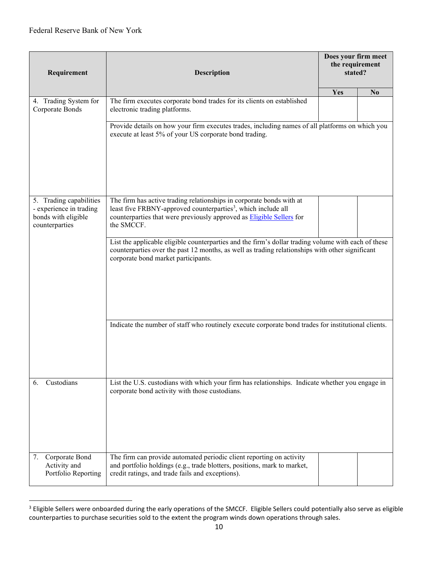| Requirement                                                                                 | <b>Description</b>                                                                                                                                                                                                                            | Does your firm meet<br>the requirement<br>stated? |                |
|---------------------------------------------------------------------------------------------|-----------------------------------------------------------------------------------------------------------------------------------------------------------------------------------------------------------------------------------------------|---------------------------------------------------|----------------|
|                                                                                             |                                                                                                                                                                                                                                               | Yes                                               | N <sub>0</sub> |
| 4. Trading System for<br>Corporate Bonds                                                    | The firm executes corporate bond trades for its clients on established<br>electronic trading platforms.                                                                                                                                       |                                                   |                |
|                                                                                             | Provide details on how your firm executes trades, including names of all platforms on which you<br>execute at least 5% of your US corporate bond trading.                                                                                     |                                                   |                |
| 5. Trading capabilities<br>- experience in trading<br>bonds with eligible<br>counterparties | The firm has active trading relationships in corporate bonds with at<br>least five FRBNY-approved counterparties <sup>3</sup> , which include all<br>counterparties that were previously approved as Eligible Sellers for<br>the SMCCF.       |                                                   |                |
|                                                                                             | List the applicable eligible counterparties and the firm's dollar trading volume with each of these<br>counterparties over the past 12 months, as well as trading relationships with other significant<br>corporate bond market participants. |                                                   |                |
|                                                                                             | Indicate the number of staff who routinely execute corporate bond trades for institutional clients.                                                                                                                                           |                                                   |                |
| Custodians<br>6.                                                                            | List the U.S. custodians with which your firm has relationships. Indicate whether you engage in<br>corporate bond activity with those custodians.                                                                                             |                                                   |                |
| Corporate Bond<br>7.<br>Activity and<br>Portfolio Reporting                                 | The firm can provide automated periodic client reporting on activity<br>and portfolio holdings (e.g., trade blotters, positions, mark to market,<br>credit ratings, and trade fails and exceptions).                                          |                                                   |                |

<span id="page-10-0"></span><sup>&</sup>lt;sup>3</sup> Eligible Sellers were onboarded during the early operations of the SMCCF. Eligible Sellers could potentially also serve as eligible counterparties to purchase securities sold to the extent the program winds down operations through sales.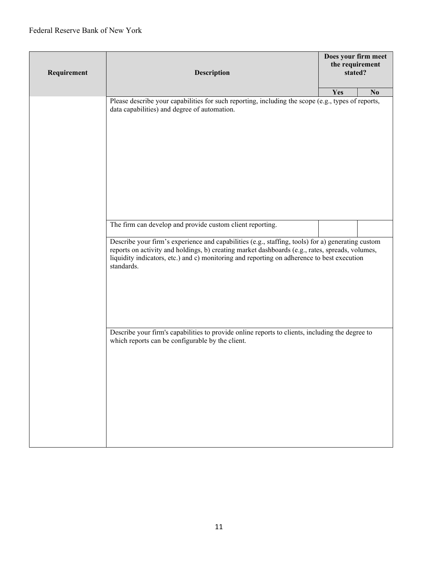| Requirement | <b>Description</b>                                                                                                                                                                                                                                                                                                                                                            | Does your firm meet<br>the requirement<br>stated? |                        |
|-------------|-------------------------------------------------------------------------------------------------------------------------------------------------------------------------------------------------------------------------------------------------------------------------------------------------------------------------------------------------------------------------------|---------------------------------------------------|------------------------|
|             |                                                                                                                                                                                                                                                                                                                                                                               | Yes                                               | $\mathbf{N}\mathbf{0}$ |
|             | Please describe your capabilities for such reporting, including the scope (e.g., types of reports,<br>data capabilities) and degree of automation.                                                                                                                                                                                                                            |                                                   |                        |
|             | The firm can develop and provide custom client reporting.<br>Describe your firm's experience and capabilities (e.g., staffing, tools) for a) generating custom<br>reports on activity and holdings, b) creating market dashboards (e.g., rates, spreads, volumes,<br>liquidity indicators, etc.) and c) monitoring and reporting on adherence to best execution<br>standards. |                                                   |                        |
|             | Describe your firm's capabilities to provide online reports to clients, including the degree to<br>which reports can be configurable by the client.                                                                                                                                                                                                                           |                                                   |                        |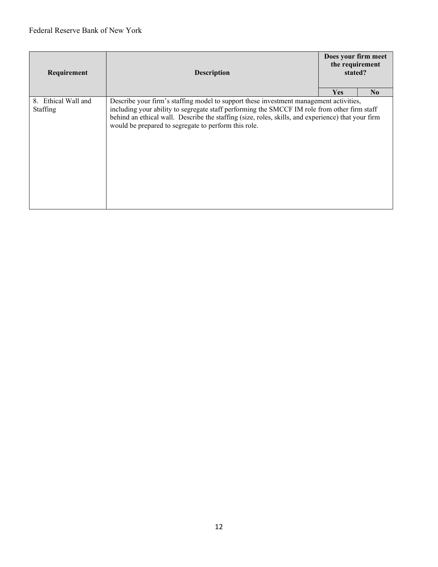| Requirement                     | <b>Description</b>                                                                                                                                                                                                                                                                                                                                   | Does your firm meet<br>the requirement<br>stated? |          |
|---------------------------------|------------------------------------------------------------------------------------------------------------------------------------------------------------------------------------------------------------------------------------------------------------------------------------------------------------------------------------------------------|---------------------------------------------------|----------|
| 8. Ethical Wall and<br>Staffing | Describe your firm's staffing model to support these investment management activities,<br>including your ability to segregate staff performing the SMCCF IM role from other firm staff<br>behind an ethical wall. Describe the staffing (size, roles, skills, and experience) that your firm<br>would be prepared to segregate to perform this role. |                                                   | $\bf No$ |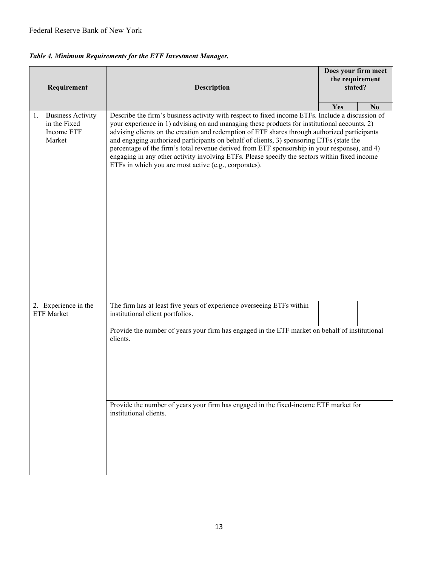# *Table 4. Minimum Requirements for the ETF Investment Manager.*

| Requirement<br><b>Description</b>                                      |                                                                                                                                                                                                                                                                                                                                                                                                                                                                                                                                                                                                                                                          | Does your firm meet<br>the requirement<br>stated? |                |
|------------------------------------------------------------------------|----------------------------------------------------------------------------------------------------------------------------------------------------------------------------------------------------------------------------------------------------------------------------------------------------------------------------------------------------------------------------------------------------------------------------------------------------------------------------------------------------------------------------------------------------------------------------------------------------------------------------------------------------------|---------------------------------------------------|----------------|
|                                                                        |                                                                                                                                                                                                                                                                                                                                                                                                                                                                                                                                                                                                                                                          | Yes                                               | N <sub>0</sub> |
| <b>Business Activity</b><br>1.<br>in the Fixed<br>Income ETF<br>Market | Describe the firm's business activity with respect to fixed income ETFs. Include a discussion of<br>your experience in 1) advising on and managing these products for institutional accounts, 2)<br>advising clients on the creation and redemption of ETF shares through authorized participants<br>and engaging authorized participants on behalf of clients, 3) sponsoring ETFs (state the<br>percentage of the firm's total revenue derived from ETF sponsorship in your response), and 4)<br>engaging in any other activity involving ETFs. Please specify the sectors within fixed income<br>ETFs in which you are most active (e.g., corporates). |                                                   |                |
| 2. Experience in the<br><b>ETF</b> Market                              | The firm has at least five years of experience overseeing ETFs within<br>institutional client portfolios.                                                                                                                                                                                                                                                                                                                                                                                                                                                                                                                                                |                                                   |                |
|                                                                        | Provide the number of years your firm has engaged in the ETF market on behalf of institutional<br>clients.<br>Provide the number of years your firm has engaged in the fixed-income ETF market for<br>institutional clients.                                                                                                                                                                                                                                                                                                                                                                                                                             |                                                   |                |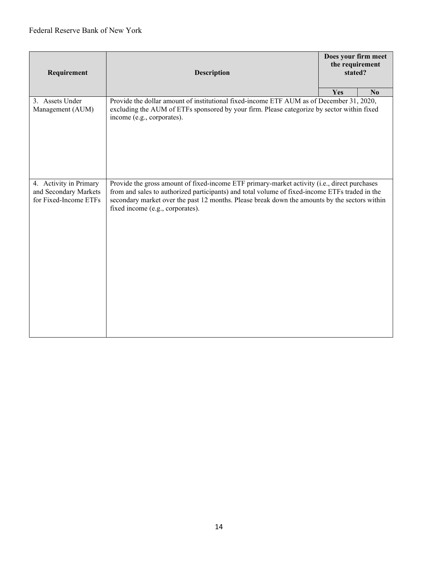| Requirement                                                              | <b>Description</b>                                                                                                                                                                                                                                                                                                                  | Does your firm meet<br>the requirement<br>stated? |
|--------------------------------------------------------------------------|-------------------------------------------------------------------------------------------------------------------------------------------------------------------------------------------------------------------------------------------------------------------------------------------------------------------------------------|---------------------------------------------------|
| 3. Assets Under<br>Management (AUM)                                      | Provide the dollar amount of institutional fixed-income ETF AUM as of December 31, 2020,<br>excluding the AUM of ETFs sponsored by your firm. Please categorize by sector within fixed<br>income (e.g., corporates).                                                                                                                | Yes<br>N <sub>0</sub>                             |
| 4. Activity in Primary<br>and Secondary Markets<br>for Fixed-Income ETFs | Provide the gross amount of fixed-income ETF primary-market activity (i.e., direct purchases<br>from and sales to authorized participants) and total volume of fixed-income ETFs traded in the<br>secondary market over the past 12 months. Please break down the amounts by the sectors within<br>fixed income (e.g., corporates). |                                                   |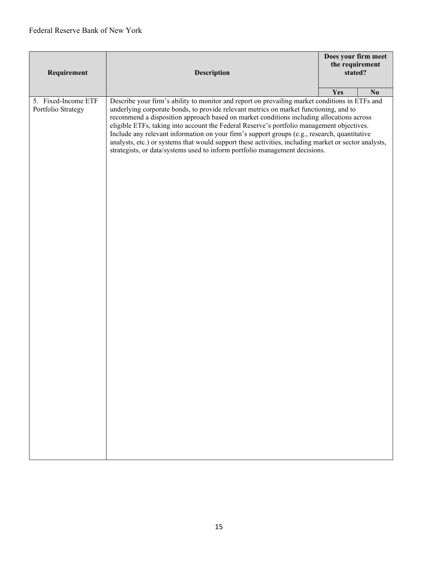| Requirement                               | <b>Description</b>                                                                                                                                                                                                                                                                                                                                                                                                                                                                                                                                                                                                                                                      | Does your firm meet<br>the requirement<br>stated? |  |
|-------------------------------------------|-------------------------------------------------------------------------------------------------------------------------------------------------------------------------------------------------------------------------------------------------------------------------------------------------------------------------------------------------------------------------------------------------------------------------------------------------------------------------------------------------------------------------------------------------------------------------------------------------------------------------------------------------------------------------|---------------------------------------------------|--|
| 5. Fixed-Income ETF<br>Portfolio Strategy | Describe your firm's ability to monitor and report on prevailing market conditions in ETFs and<br>underlying corporate bonds, to provide relevant metrics on market functioning, and to<br>recommend a disposition approach based on market conditions including allocations across<br>eligible ETFs, taking into account the Federal Reserve's portfolio management objectives.<br>Include any relevant information on your firm's support groups (e.g., research, quantitative<br>analysts, etc.) or systems that would support these activities, including market or sector analysts,<br>strategists, or data/systems used to inform portfolio management decisions. | Yes<br>$\mathbf{N}\mathbf{0}$                     |  |
|                                           |                                                                                                                                                                                                                                                                                                                                                                                                                                                                                                                                                                                                                                                                         |                                                   |  |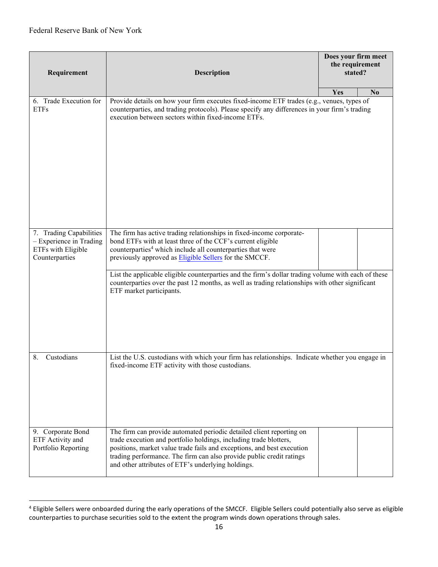| Requirement                                                                                  | <b>Description</b>                                                                                                                                                                                                                                                                                                                                                                                                                                                                                                   | Does your firm meet<br>the requirement<br>stated?<br>Yes | N <sub>0</sub> |
|----------------------------------------------------------------------------------------------|----------------------------------------------------------------------------------------------------------------------------------------------------------------------------------------------------------------------------------------------------------------------------------------------------------------------------------------------------------------------------------------------------------------------------------------------------------------------------------------------------------------------|----------------------------------------------------------|----------------|
| 6. Trade Execution for<br><b>ETFs</b>                                                        | Provide details on how your firm executes fixed-income ETF trades (e.g., venues, types of<br>counterparties, and trading protocols). Please specify any differences in your firm's trading<br>execution between sectors within fixed-income ETFs.                                                                                                                                                                                                                                                                    |                                                          |                |
| 7. Trading Capabilities<br>$-$ Experience in Trading<br>ETFs with Eligible<br>Counterparties | The firm has active trading relationships in fixed-income corporate-<br>bond ETFs with at least three of the CCF's current eligible<br>counterparties <sup>4</sup> which include all counterparties that were<br>previously approved as <b>Eligible Sellers</b> for the SMCCF.<br>List the applicable eligible counterparties and the firm's dollar trading volume with each of these<br>counterparties over the past 12 months, as well as trading relationships with other significant<br>ETF market participants. |                                                          |                |
| Custodians<br>8.                                                                             | List the U.S. custodians with which your firm has relationships. Indicate whether you engage in<br>fixed-income ETF activity with those custodians.                                                                                                                                                                                                                                                                                                                                                                  |                                                          |                |
| 9. Corporate Bond<br>ETF Activity and<br>Portfolio Reporting                                 | The firm can provide automated periodic detailed client reporting on<br>trade execution and portfolio holdings, including trade blotters,<br>positions, market value trade fails and exceptions, and best execution<br>trading performance. The firm can also provide public credit ratings<br>and other attributes of ETF's underlying holdings.                                                                                                                                                                    |                                                          |                |

<span id="page-16-0"></span><sup>&</sup>lt;sup>4</sup> Eligible Sellers were onboarded during the early operations of the SMCCF. Eligible Sellers could potentially also serve as eligible counterparties to purchase securities sold to the extent the program winds down operations through sales.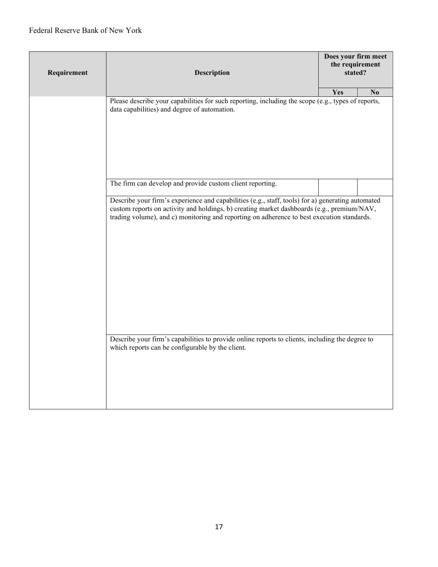| Requirement | <b>Description</b>                                                                                                                                                                                                                                                                            | Does your firm meet<br>the requirement<br>stated? |  |
|-------------|-----------------------------------------------------------------------------------------------------------------------------------------------------------------------------------------------------------------------------------------------------------------------------------------------|---------------------------------------------------|--|
|             |                                                                                                                                                                                                                                                                                               | Yes<br>No                                         |  |
|             | Please describe your capabilities for such reporting, including the scope (e.g., types of reports,<br>data capabilities) and degree of automation.                                                                                                                                            |                                                   |  |
|             |                                                                                                                                                                                                                                                                                               |                                                   |  |
|             | The firm can develop and provide custom client reporting.                                                                                                                                                                                                                                     |                                                   |  |
|             | Describe your firm's experience and capabilities (e.g., staff, tools) for a) generating automated<br>custom reports on activity and holdings, b) creating market dashboards (e.g., premium/NAV,<br>trading volume), and c) monitoring and reporting on adherence to best execution standards. |                                                   |  |
|             | Describe your firm's capabilities to provide online reports to clients, including the degree to<br>which reports can be configurable by the client.                                                                                                                                           |                                                   |  |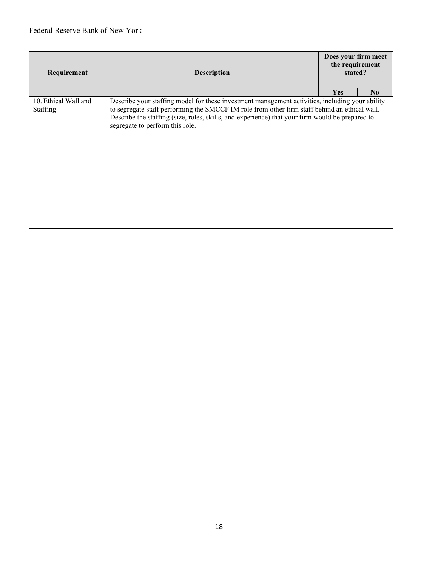| Requirement                      | <b>Description</b>                                                                                                                                                                                                                                                                                                                     | Does your firm meet<br>the requirement<br>stated? |          |
|----------------------------------|----------------------------------------------------------------------------------------------------------------------------------------------------------------------------------------------------------------------------------------------------------------------------------------------------------------------------------------|---------------------------------------------------|----------|
|                                  |                                                                                                                                                                                                                                                                                                                                        | <b>Yes</b>                                        | $\bf No$ |
| 10. Ethical Wall and<br>Staffing | Describe your staffing model for these investment management activities, including your ability<br>to segregate staff performing the SMCCF IM role from other firm staff behind an ethical wall.<br>Describe the staffing (size, roles, skills, and experience) that your firm would be prepared to<br>segregate to perform this role. |                                                   |          |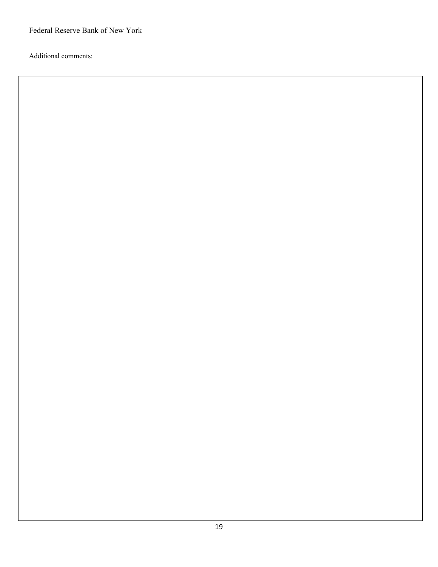Federal Reserve Bank of New York

Additional comments: